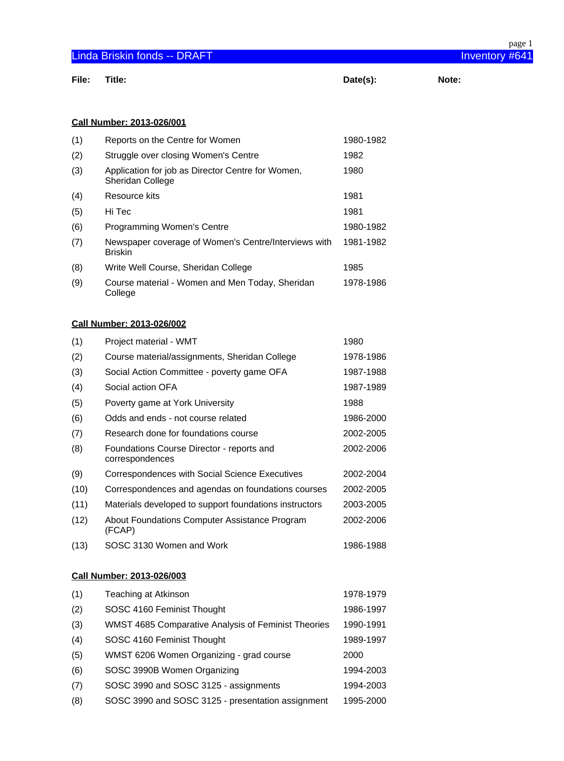|       |                                                                        |           | page 1         |
|-------|------------------------------------------------------------------------|-----------|----------------|
|       | <b>Linda Briskin fonds -- DRAFT</b>                                    |           | Inventory #641 |
| File: | Title:                                                                 | Date(s):  | Note:          |
|       |                                                                        |           |                |
|       |                                                                        |           |                |
|       | <b>Call Number: 2013-026/001</b>                                       |           |                |
| (1)   | Reports on the Centre for Women                                        | 1980-1982 |                |
| (2)   | Struggle over closing Women's Centre                                   | 1982      |                |
| (3)   | Application for job as Director Centre for Women,<br>Sheridan College  | 1980      |                |
| (4)   | <b>Resource kits</b>                                                   | 1981      |                |
| (5)   | Hi Tec                                                                 | 1981      |                |
| (6)   | <b>Programming Women's Centre</b>                                      | 1980-1982 |                |
| (7)   | Newspaper coverage of Women's Centre/Interviews with<br><b>Briskin</b> | 1981-1982 |                |
| (8)   | Write Well Course, Sheridan College                                    | 1985      |                |
| (9)   | Course material - Women and Men Today, Sheridan<br>College             | 1978-1986 |                |
|       | <b>Call Number: 2013-026/002</b>                                       |           |                |
| (1)   | Project material - WMT                                                 | 1980      |                |
| (2)   | Course material/assignments, Sheridan College                          | 1978-1986 |                |
| (3)   | Social Action Committee - poverty game OFA                             | 1987-1988 |                |
| (4)   | Social action OFA                                                      | 1987-1989 |                |
| (5)   | Poverty game at York University                                        | 1988      |                |
| (6)   | Odds and ends - not course related                                     | 1986-2000 |                |
| (7)   | Research done for foundations course                                   | 2002-2005 |                |
| (8)   | Foundations Course Director - reports and<br>correspondences           | 2002-2006 |                |
| (9)   | Correspondences with Social Science Executives                         | 2002-2004 |                |
| (10)  | Correspondences and agendas on foundations courses                     | 2002-2005 |                |
| (11)  | Materials developed to support foundations instructors                 | 2003-2005 |                |

(12) About Foundations Computer Assistance Program (FCAP) 2002-2006 (13) SOSC 3130 Women and Work 1986-1988

## **Call Number: 2013-026/003**

| (1) | Teaching at Atkinson                                | 1978-1979 |
|-----|-----------------------------------------------------|-----------|
| (2) | SOSC 4160 Feminist Thought                          | 1986-1997 |
| (3) | WMST 4685 Comparative Analysis of Feminist Theories | 1990-1991 |
| (4) | SOSC 4160 Feminist Thought                          | 1989-1997 |
| (5) | WMST 6206 Women Organizing - grad course            | 2000      |
| (6) | SOSC 3990B Women Organizing                         | 1994-2003 |
| (7) | SOSC 3990 and SOSC 3125 - assignments               | 1994-2003 |
| (8) | SOSC 3990 and SOSC 3125 - presentation assignment   | 1995-2000 |